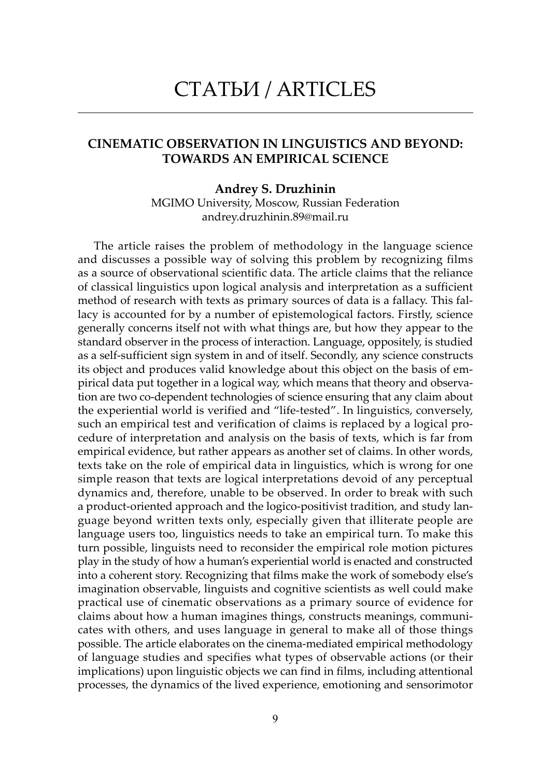# СТАТЬИ / ARTICLES

## CINEMATIC OBSERVATION IN LINGUISTICS AND BEYOND: TOWARDS AN EMPIRICAL SCIENCE

#### Andrey S. Druzhinin

MGIMO University, Moscow, Russian Federation andrey.druzhinin.89@mail.ru

The article raises the problem of methodology in the language science and discusses a possible way of solving this problem by recognizing films as a source of observational scientific data. The article claims that the reliance of classical linguistics upon logical analysis and interpretation as a sufficient method of research with texts as primary sources of data is a fallacy. This fallacy is accounted for by a number of epistemological factors. Firstly, science generally concerns itself not with what things are, but how they appear to the standard observer in the process of interaction. Language, oppositely, is studied as a self-sufficient sign system in and of itself. Secondly, any science constructs its object and produces valid knowledge about this object on the basis of empirical data put together in a logical way, which means that theory and observation are two co-dependent technologies of science ensuring that any claim about the experiential world is verified and "life-tested". In linguistics, conversely, such an empirical test and verification of claims is replaced by a logical procedure of interpretation and analysis on the basis of texts, which is far from empirical evidence, but rather appears as another set of claims. In other words, texts take on the role of empirical data in linguistics, which is wrong for one simple reason that texts are logical interpretations devoid of any perceptual dynamics and, therefore, unable to be observed. In order to break with such a product-oriented approach and the logico-positivist tradition, and study language beyond written texts only, especially given that illiterate people are language users too, linguistics needs to take an empirical turn. To make this turn possible, linguists need to reconsider the empirical role motion pictures play in the study of how a human's experiential world is enacted and constructed into a coherent story. Recognizing that films make the work of somebody else's imagination observable, linguists and cognitive scientists as well could make practical use of cinematic observations as a primary source of evidence for claims about how a human imagines things, constructs meanings, communicates with others, and uses language in general to make all of those things possible. The article elaborates on the cinema-mediated empirical methodology of language studies and specifies what types of observable actions (or their implications) upon linguistic objects we can find in films, including attentional processes, the dynamics of the lived experience, emotioning and sensorimotor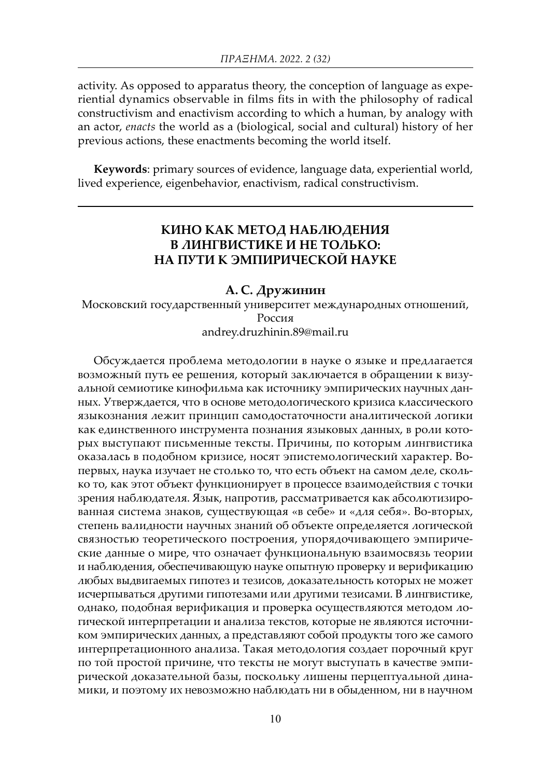activity. As opposed to apparatus theory, the conception of language as experiential dynamics observable in films fits in with the philosophy of radical constructivism and enactivism according to which a human, by analogy with an actor, *enacts* the world as a (biological, social and cultural) history of her previous actions, these enactments becoming the world itself.

Keywords: primary sources of evidence, language data, experiential world, lived experience, eigenbehavior, enactivism, radical constructivism.

# КИНО КАК МЕТОД НАБЛЮДЕНИЯ В ЛИНГВИСТИКЕ И НЕ ТОЛЬКО: НА ПУТИ К ЭМПИРИЧЕСКОЙ НАУКЕ

#### А. С. Дружинин

Московский государственный университет международных отношений, Россия andrey.druzhinin.89@mail.ru

Обсуждается проблема методологии в науке о языке и предлагается возможный путь ее решения, который заключается в обращении к визуальной семиотике кинофильма как источнику эмпирических научных данных. Утверждается, что в основе методологического кризиса классического языкознания лежит принцип самодостаточности аналитической логики как единственного инструмента познания языковых данных, в роли которых выступают письменные тексты. Причины, по которым лингвистика оказалась в подобном кризисе, носят эпистемологический характер. Вопервых, наука изучает не столько то, что есть объект на самом деле, сколько то, как этот объект функционирует в процессе взаимодействия с точки зрения наблюдателя. Язык, напротив, рассматривается как абсолютизированная система знаков, существующая «в себе» и «для себя». Во-вторых, степень валидности научных знаний об объекте определяется логической связностью теоретического построения, упорядочивающего эмпирические данные о мире, что означает функциональную взаимосвязь теории и наблюдения, обеспечивающую науке опытную проверку и верификацию любых выдвигаемых гипотез и тезисов, доказательность которых не может исчерпываться другими гипотезами или другими тезисами. В лингвистике, однако, подобная верификация и проверка осуществляются методом логической интерпретации и анализа текстов, которые не являются источником эмпирических данных, а представляют собой продукты того же самого интерпретационного анализа. Такая методология создает порочный круг по той простой причине, что тексты не могут выступать в качестве эмпирической доказательной базы, поскольку лишены перцептуальной динамики, и поэтому их невозможно наблюдать ни в обыденном, ни в научном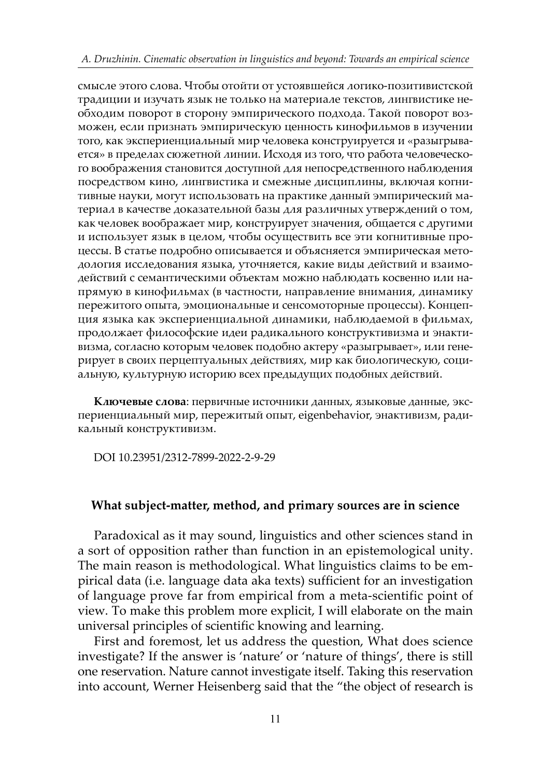смысле этого слова. Чтобы отойти от устоявшейся логико-позитивистской традиции и изучать язык не только на материале текстов, лингвистике необходим поворот в сторону эмпирического подхода. Такой поворот возможен, если признать эмпирическую ценность кинофильмов в изучении того, как экспериенциальный мир человека конструируется и «разыгрывается» в пределах сюжетной линии. Исходя из того, что работа человеческого воображения становится доступной для непосредственного наблюдения посредством кино, лингвистика и смежные дисциплины, включая когнитивные науки, могут использовать на практике данный эмпирический материал в качестве доказательной базы для различных утверждений о том, как человек воображает мир, конструирует значения, общается с другими и использует язык в целом, чтобы осуществить все эти когнитивные процессы. В статье подробно описывается и объясняется эмпирическая методология исследования языка, уточняется, какие виды действий и взаимодействий с семантическими объектам можно наблюдать косвенно или напрямую в кинофильмах (в частности, направление внимания, динамику пережитого опыта, эмоциональные и сенсомоторные процессы). Концепция языка как экспериенциальной динамики, наблюдаемой в фильмах, продолжает философские идеи радикального конструктивизма и энактивизма, согласно которым человек подобно актеру «разыгрывает», или генерирует в своих перцептуальных действиях, мир как биологическую, социальную, культурную историю всех предыдущих подобных действий.

Ключевые слова: первичные источники данных, языковые данные, экспериенциальный мир, пережитый опыт, eigenbehavior, энактивизм, радикальный конструктивизм.

DOI 10.23951/2312-7899-2022-2-9-29

## What subject-matter, method, and primary sources are in science

Paradoxical as it may sound, linguistics and other sciences stand in a sort of opposition rather than function in an epistemological unity. The main reason is methodological. What linguistics claims to be empirical data (i.e. language data aka texts) sufficient for an investigation of language prove far from empirical from a meta-scientific point of view. To make this problem more explicit, I will elaborate on the main universal principles of scientific knowing and learning.

First and foremost, let us address the question, What does science investigate? If the answer is 'nature' or 'nature of things', there is still one reservation. Nature cannot investigate itself. Taking this reservation into account, Werner Heisenberg said that the "the object of research is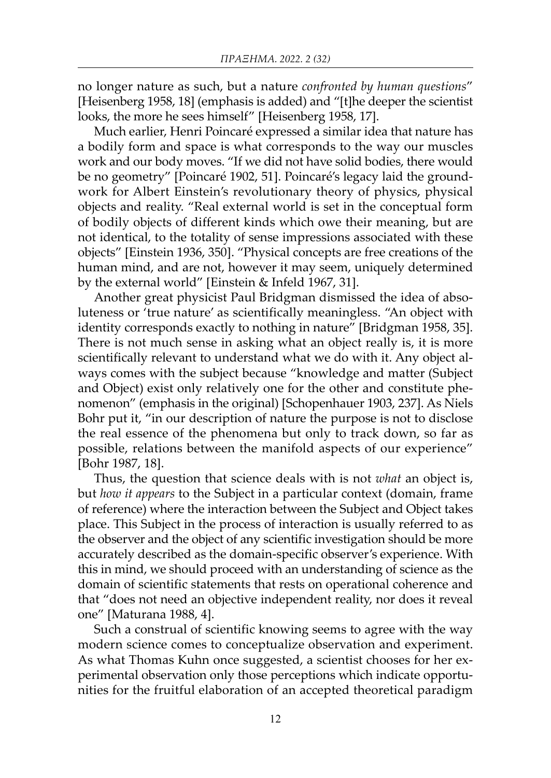no longer nature as such, but a nature *confronted by human questions*" [Heisenberg 1958, 18] (emphasis is added) and "[t]he deeper the scientist looks, the more he sees himself" [Heisenberg 1958, 17].

Much earlier, Henri Poincaré expressed a similar idea that nature has a bodily form and space is what corresponds to the way our muscles work and our body moves. "If we did not have solid bodies, there would be no geometry" [Poincaré 1902, 51]. Poincaré's legacy laid the groundwork for Albert Einstein's revolutionary theory of physics, physical objects and reality. "Real external world is set in the conceptual form of bodily objects of different kinds which owe their meaning, but are not identical, to the totality of sense impressions associated with these objects" [Einstein 1936, 350]. "Physical concepts are free creations of the human mind, and are not, however it may seem, uniquely determined by the external world" [Einstein & Infeld 1967, 31].

Another great physicist Paul Bridgman dismissed the idea of absoluteness or 'true nature' as scientifically meaningless. "An object with identity corresponds exactly to nothing in nature" [Bridgman 1958, 35]. There is not much sense in asking what an object really is, it is more scientifically relevant to understand what we do with it. Any object always comes with the subject because "knowledge and matter (Subject and Object) exist only relatively one for the other and constitute phenomenon" (emphasis in the original) [Schopenhauer 1903, 237]. As Niels Bohr put it, "in our description of nature the purpose is not to disclose the real essence of the phenomena but only to track down, so far as possible, relations between the manifold aspects of our experience" [Bohr 1987, 18].

Thus, the question that science deals with is not *what* an object is, but *how it appears* to the Subject in a particular context (domain, frame of reference) where the interaction between the Subject and Object takes place. This Subject in the process of interaction is usually referred to as the observer and the object of any scientific investigation should be more accurately described as the domain-specific observer's experience. With this in mind, we should proceed with an understanding of science as the domain of scientific statements that rests on operational coherence and that "does not need an objective independent reality, nor does it reveal one" [Maturana 1988, 4].

Such a construal of scientific knowing seems to agree with the way modern science comes to conceptualize observation and experiment. As what Thomas Kuhn once suggested, a scientist chooses for her experimental observation only those perceptions which indicate opportunities for the fruitful elaboration of an accepted theoretical paradigm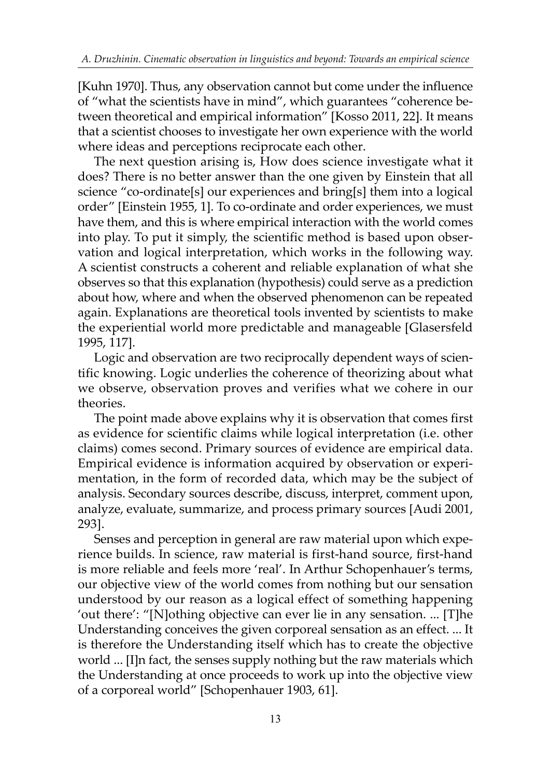[Kuhn 1970]. Thus, any observation cannot but come under the influence of "what the scientists have in mind", which guarantees "coherence between theoretical and empirical information" [Kosso 2011, 22]. It means that a scientist chooses to investigate her own experience with the world where ideas and perceptions reciprocate each other.

The next question arising is, How does science investigate what it does? There is no better answer than the one given by Einstein that all science "co-ordinate[s] our experiences and bring[s] them into a logical order" [Einstein 1955, 1]. To co-ordinate and order experiences, we must have them, and this is where empirical interaction with the world comes into play. To put it simply, the scientific method is based upon observation and logical interpretation, which works in the following way. A scientist constructs a coherent and reliable explanation of what she observes so that this explanation (hypothesis) could serve as a prediction about how, where and when the observed phenomenon can be repeated again. Explanations are theoretical tools invented by scientists to make the experiential world more predictable and manageable [Glasersfeld 1995, 117].

Logic and observation are two reciprocally dependent ways of scientific knowing. Logic underlies the coherence of theorizing about what we observe, observation proves and verifies what we cohere in our theories.

The point made above explains why it is observation that comes first as evidence for scientific claims while logical interpretation (i.e. other claims) comes second. Primary sources of evidence are empirical data. Empirical evidence is information acquired by observation or experimentation, in the form of recorded data, which may be the subject of analysis. Secondary sources describe, discuss, interpret, comment upon, analyze, evaluate, summarize, and process primary sources [Audi 2001, 293].

Senses and perception in general are raw material upon which experience builds. In science, raw material is first-hand source, first-hand is more reliable and feels more 'real'. In Arthur Schopenhauer's terms, our objective view of the world comes from nothing but our sensation understood by our reason as a logical effect of something happening 'out there': "[N]othing objective can ever lie in any sensation. ... [T]he Understanding conceives the given corporeal sensation as an effect. ... It is therefore the Understanding itself which has to create the objective world ... [I]n fact, the senses supply nothing but the raw materials which the Understanding at once proceeds to work up into the objective view of a corporeal world" [Schopenhauer 1903, 61].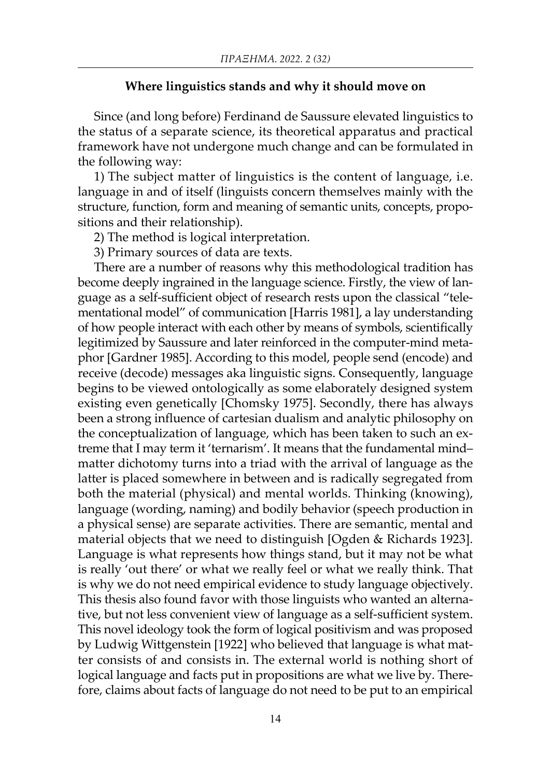#### Where linguistics stands and why it should move on

Since (and long before) Ferdinand de Saussure elevated linguistics to the status of a separate science, its theoretical apparatus and practical framework have not undergone much change and can be formulated in the following way:

1) The subject matter of linguistics is the content of language, i.e. language in and of itself (linguists concern themselves mainly with the structure, function, form and meaning of semantic units, concepts, propositions and their relationship).

2) The method is logical interpretation.

3) Primary sources of data are texts.

There are a number of reasons why this methodological tradition has become deeply ingrained in the language science. Firstly, the view of language as a self-sufficient object of research rests upon the classical "telementational model" of communication [Harris 1981], a lay understanding of how people interact with each other by means of symbols, scientifically legitimized by Saussure and later reinforced in the computer-mind metaphor [Gardner 1985]. According to this model, people send (encode) and receive (decode) messages aka linguistic signs. Consequently, language begins to be viewed ontologically as some elaborately designed system existing even genetically [Chomsky 1975]. Secondly, there has always been a strong influence of cartesian dualism and analytic philosophy on the conceptualization of language, which has been taken to such an extreme that I may term it 'ternarism'. It means that the fundamental mind– matter dichotomy turns into a triad with the arrival of language as the latter is placed somewhere in between and is radically segregated from both the material (physical) and mental worlds. Thinking (knowing), language (wording, naming) and bodily behavior (speech production in a physical sense) are separate activities. There are semantic, mental and material objects that we need to distinguish [Ogden & Richards 1923]. Language is what represents how things stand, but it may not be what is really 'out there' or what we really feel or what we really think. That is why we do not need empirical evidence to study language objectively. This thesis also found favor with those linguists who wanted an alternative, but not less convenient view of language as a self-sufficient system. This novel ideology took the form of logical positivism and was proposed by Ludwig Wittgenstein [1922] who believed that language is what matter consists of and consists in. The external world is nothing short of logical language and facts put in propositions are what we live by. Therefore, claims about facts of language do not need to be put to an empirical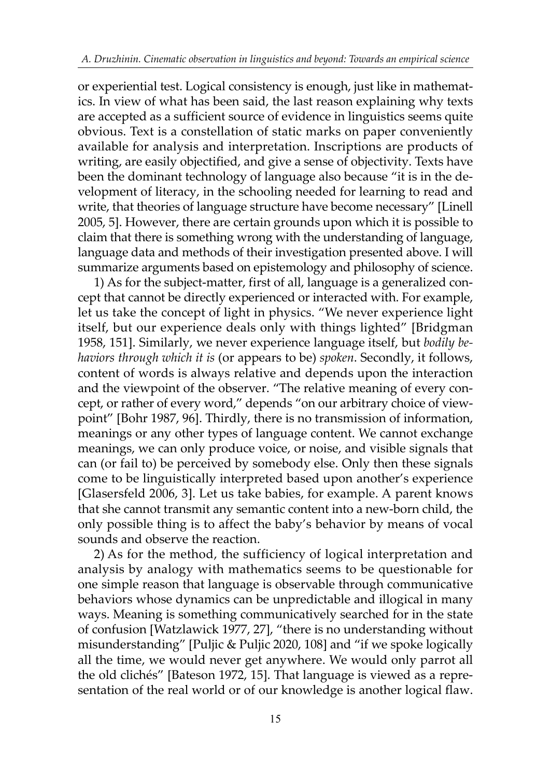or experiential test. Logical consistency is enough, just like in mathematics. In view of what has been said, the last reason explaining why texts are accepted as a sufficient source of evidence in linguistics seems quite obvious. Text is a constellation of static marks on paper conveniently available for analysis and interpretation. Inscriptions are products of writing, are easily objectified, and give a sense of objectivity. Texts have been the dominant technology of language also because "it is in the development of literacy, in the schooling needed for learning to read and write, that theories of language structure have become necessary" [Linell 2005, 5]. However, there are certain grounds upon which it is possible to claim that there is something wrong with the understanding of language, language data and methods of their investigation presented above. I will summarize arguments based on epistemology and philosophy of science.

1) As for the subject-matter, first of all, language is a generalized concept that cannot be directly experienced or interacted with. For example, let us take the concept of light in physics. "We never experience light itself, but our experience deals only with things lighted" [Bridgman 1958, 151]. Similarly, we never experience language itself, but *bodily behaviors through which it is* (or appears to be) *spoken*. Secondly, it follows, content of words is always relative and depends upon the interaction and the viewpoint of the observer. "The relative meaning of every concept, or rather of every word," depends "on our arbitrary choice of viewpoint" [Bohr 1987, 96]. Thirdly, there is no transmission of information, meanings or any other types of language content. We cannot exchange meanings, we can only produce voice, or noise, and visible signals that can (or fail to) be perceived by somebody else. Only then these signals come to be linguistically interpreted based upon another's experience [Glasersfeld 2006, 3]. Let us take babies, for example. A parent knows that she cannot transmit any semantic content into a new-born child, the only possible thing is to affect the baby's behavior by means of vocal sounds and observe the reaction.

2) As for the method, the sufficiency of logical interpretation and analysis by analogy with mathematics seems to be questionable for one simple reason that language is observable through communicative behaviors whose dynamics can be unpredictable and illogical in many ways. Meaning is something communicatively searched for in the state of confusion [Watzlawick 1977, 27], "there is no understanding without misunderstanding" [Puljic & Puljic 2020, 108] and "if we spoke logically all the time, we would never get anywhere. We would only parrot all the old clichés" [Bateson 1972, 15]. That language is viewed as a representation of the real world or of our knowledge is another logical flaw.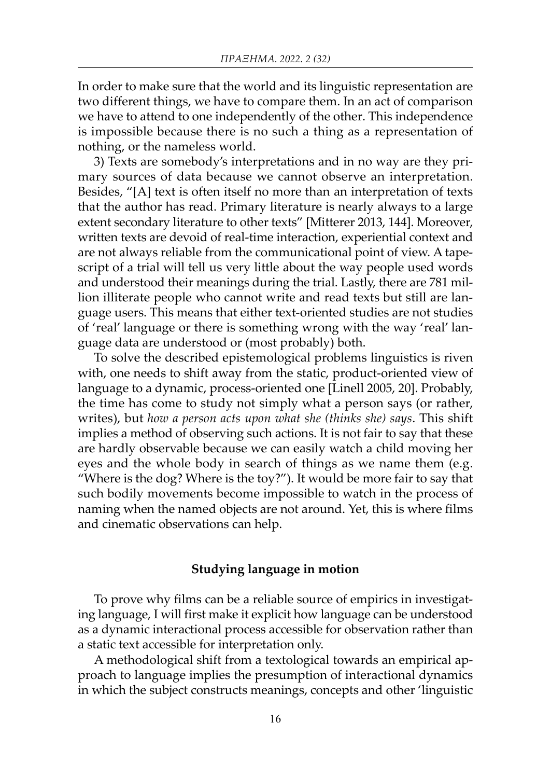In order to make sure that the world and its linguistic representation are two different things, we have to compare them. In an act of comparison we have to attend to one independently of the other. This independence is impossible because there is no such a thing as a representation of nothing, or the nameless world.

3) Texts are somebody's interpretations and in no way are they primary sources of data because we cannot observe an interpretation. Besides, "[A] text is often itself no more than an interpretation of texts that the author has read. Primary literature is nearly always to a large extent secondary literature to other texts" [Mitterer 2013, 144]. Moreover, written texts are devoid of real-time interaction, experiential context and are not always reliable from the communicational point of view. A tapescript of a trial will tell us very little about the way people used words and understood their meanings during the trial. Lastly, there are 781 million illiterate people who cannot write and read texts but still are language users. This means that either text-oriented studies are not studies of 'real' language or there is something wrong with the way 'real' language data are understood or (most probably) both.

To solve the described epistemological problems linguistics is riven with, one needs to shift away from the static, product-oriented view of language to a dynamic, process-oriented one [Linell 2005, 20]. Probably, the time has come to study not simply what a person says (or rather, writes), but *how a person acts upon what she (thinks she) says*. This shift implies a method of observing such actions. It is not fair to say that these are hardly observable because we can easily watch a child moving her eyes and the whole body in search of things as we name them (e.g. "Where is the dog? Where is the toy?"). It would be more fair to say that such bodily movements become impossible to watch in the process of naming when the named objects are not around. Yet, this is where films and cinematic observations can help.

#### Studying language in motion

To prove why films can be a reliable source of empirics in investigating language, I will first make it explicit how language can be understood as a dynamic interactional process accessible for observation rather than a static text accessible for interpretation only.

A methodological shift from a textological towards an empirical approach to language implies the presumption of interactional dynamics in which the subject constructs meanings, concepts and other 'linguistic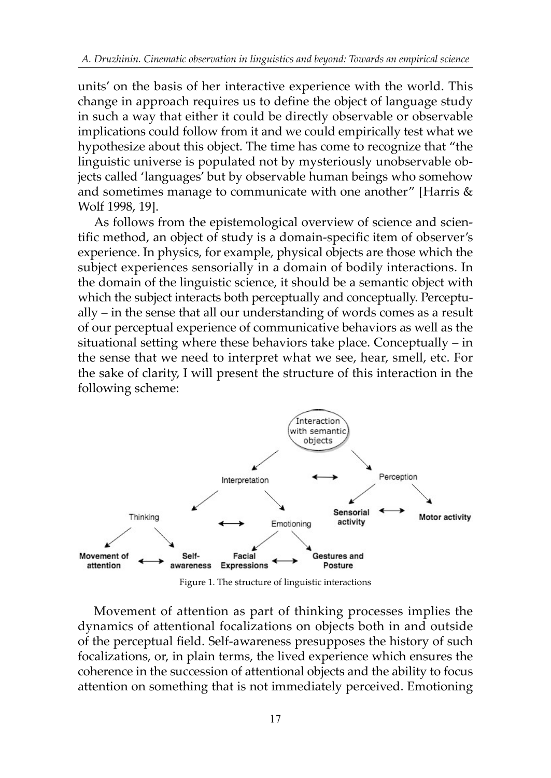units' on the basis of her interactive experience with the world. This change in approach requires us to define the object of language study in such a way that either it could be directly observable or observable implications could follow from it and we could empirically test what we hypothesize about this object. The time has come to recognize that "the linguistic universe is populated not by mysteriously unobservable objects called 'languages' but by observable human beings who somehow and sometimes manage to communicate with one another" [Harris & Wolf 1998, 19].

As follows from the epistemological overview of science and scientific method, an object of study is a domain-specific item of observer's experience. In physics, for example, physical objects are those which the subject experiences sensorially in a domain of bodily interactions. In the domain of the linguistic science, it should be a semantic object with which the subject interacts both perceptually and conceptually. Perceptually – in the sense that all our understanding of words comes as a result of our perceptual experience of communicative behaviors as well as the situational setting where these behaviors take place. Conceptually – in the sense that we need to interpret what we see, hear, smell, etc. For the sake of clarity, I will present the structure of this interaction in the following scheme:



Figure 1. The structure of linguistic interactions

Movement of attention as part of thinking processes implies the dynamics of attentional focalizations on objects both in and outside of the perceptual field. Self-awareness presupposes the history of such focalizations, or, in plain terms, the lived experience which ensures the coherence in the succession of attentional objects and the ability to focus attention on something that is not immediately perceived. Emotioning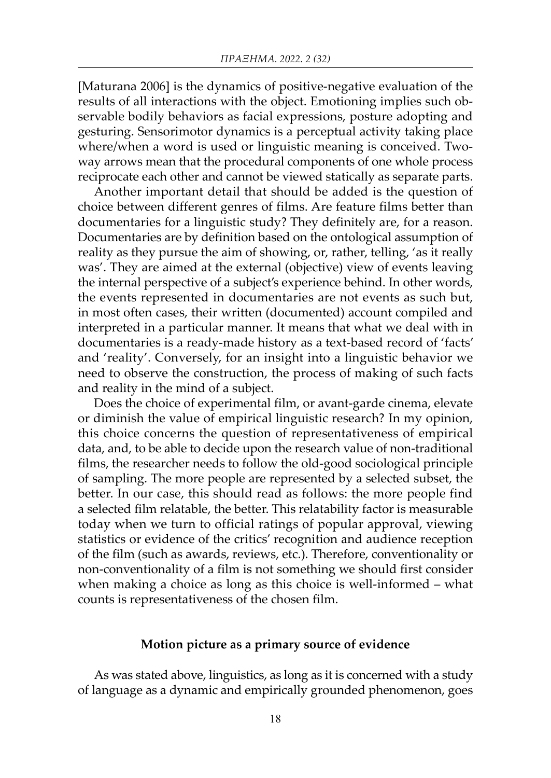[Maturana 2006] is the dynamics of positive-negative evaluation of the results of all interactions with the object. Emotioning implies such observable bodily behaviors as facial expressions, posture adopting and gesturing. Sensorimotor dynamics is a perceptual activity taking place where/when a word is used or linguistic meaning is conceived. Twoway arrows mean that the procedural components of one whole process reciprocate each other and cannot be viewed statically as separate parts.

Another important detail that should be added is the question of choice between different genres of films. Are feature films better than documentaries for a linguistic study? They definitely are, for a reason. Documentaries are by definition based on the ontological assumption of reality as they pursue the aim of showing, or, rather, telling, 'as it really was'. They are aimed at the external (objective) view of events leaving the internal perspective of a subject's experience behind. In other words, the events represented in documentaries are not events as such but, in most often cases, their written (documented) account compiled and interpreted in a particular manner. It means that what we deal with in documentaries is a ready-made history as a text-based record of 'facts' and 'reality'. Conversely, for an insight into a linguistic behavior we need to observe the construction, the process of making of such facts and reality in the mind of a subject.

Does the choice of experimental film, or avant-garde cinema, elevate or diminish the value of empirical linguistic research? In my opinion, this choice concerns the question of representativeness of empirical data, and, to be able to decide upon the research value of non-traditional films, the researcher needs to follow the old-good sociological principle of sampling. The more people are represented by a selected subset, the better. In our case, this should read as follows: the more people find a selected film relatable, the better. This relatability factor is measurable today when we turn to official ratings of popular approval, viewing statistics or evidence of the critics' recognition and audience reception of the film (such as awards, reviews, etc.). Therefore, conventionality or non-conventionality of a film is not something we should first consider when making a choice as long as this choice is well-informed – what counts is representativeness of the chosen film.

## Motion picture as a primary source of evidence

As was stated above, linguistics, as long as it is concerned with a study of language as a dynamic and empirically grounded phenomenon, goes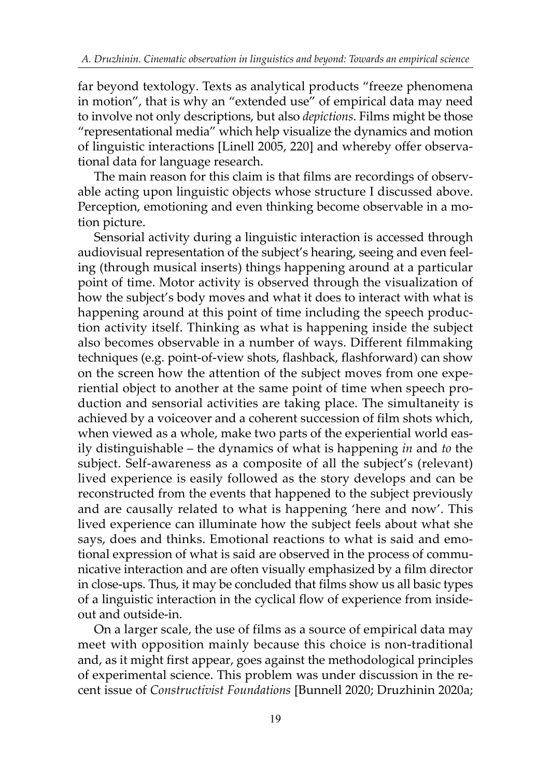far beyond textology. Texts as analytical products "freeze phenomena in motion", that is why an "extended use" of empirical data may need to involve not only descriptions, but also *depictions*. Films might be those "representational media" which help visualize the dynamics and motion of linguistic interactions [Linell 2005, 220] and whereby offer observational data for language research.

The main reason for this claim is that films are recordings of observable acting upon linguistic objects whose structure I discussed above. Perception, emotioning and even thinking become observable in a motion picture.

Sensorial activity during a linguistic interaction is accessed through audiovisual representation of the subject's hearing, seeing and even feeling (through musical inserts) things happening around at a particular point of time. Motor activity is observed through the visualization of how the subject's body moves and what it does to interact with what is happening around at this point of time including the speech production activity itself. Thinking as what is happening inside the subject also becomes observable in a number of ways. Different filmmaking techniques (e.g. point-of-view shots, flashback, flashforward) can show on the screen how the attention of the subject moves from one experiential object to another at the same point of time when speech production and sensorial activities are taking place. The simultaneity is achieved by a voiceover and a coherent succession of film shots which, when viewed as a whole, make two parts of the experiential world easily distinguishable – the dynamics of what is happening *in* and *to* the subject. Self-awareness as a composite of all the subject's (relevant) lived experience is easily followed as the story develops and can be reconstructed from the events that happened to the subject previously and are causally related to what is happening 'here and now'. This lived experience can illuminate how the subject feels about what she says, does and thinks. Emotional reactions to what is said and emotional expression of what is said are observed in the process of communicative interaction and are often visually emphasized by a film director in close-ups. Thus, it may be concluded that films show us all basic types of a linguistic interaction in the cyclical flow of experience from insideout and outside-in.

On a larger scale, the use of films as a source of empirical data may meet with opposition mainly because this choice is non-traditional and, as it might first appear, goes against the methodological principles of experimental science. This problem was under discussion in the recent issue of *Constructivist Foundations* [Bunnell 2020; Druzhinin 2020a;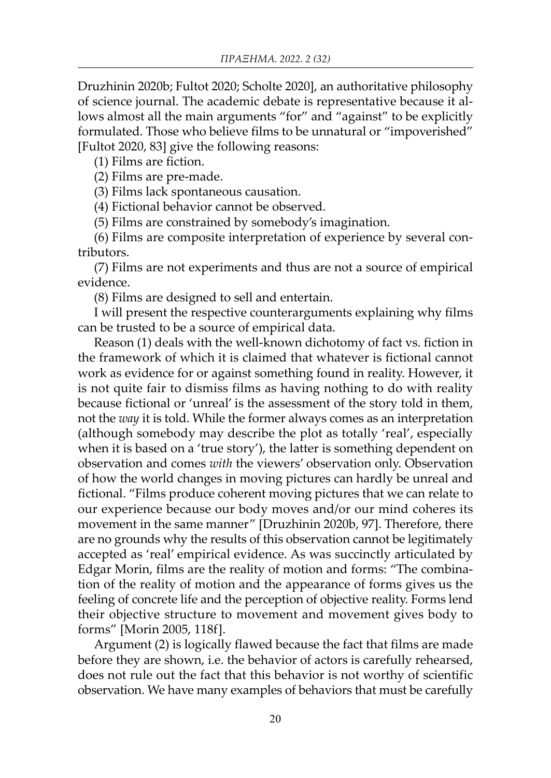Druzhinin 2020b; Fultot 2020; Scholte 2020], an authoritative philosophy of science journal. The academic debate is representative because it allows almost all the main arguments "for" and "against" to be explicitly formulated. Those who believe films to be unnatural or "impoverished" [Fultot 2020, 83] give the following reasons:

(1) Films are fiction.

(2) Films are pre-made.

(3) Films lack spontaneous causation.

(4) Fictional behavior cannot be observed.

(5) Films are constrained by somebody's imagination.

(6) Films are composite interpretation of experience by several contributors.

(7) Films are not experiments and thus are not a source of empirical evidence.

(8) Films are designed to sell and entertain.

I will present the respective counterarguments explaining why films can be trusted to be a source of empirical data.

Reason (1) deals with the well-known dichotomy of fact vs. fiction in the framework of which it is claimed that whatever is fictional cannot work as evidence for or against something found in reality. However, it is not quite fair to dismiss films as having nothing to do with reality because fictional or 'unreal' is the assessment of the story told in them, not the *way* it is told. While the former always comes as an interpretation (although somebody may describe the plot as totally 'real', especially when it is based on a 'true story'), the latter is something dependent on observation and comes *with* the viewers' observation only. Observation of how the world changes in moving pictures can hardly be unreal and fictional. "Films produce coherent moving pictures that we can relate to our experience because our body moves and/or our mind coheres its movement in the same manner" [Druzhinin 2020b, 97]. Therefore, there are no grounds why the results of this observation cannot be legitimately accepted as 'real' empirical evidence. As was succinctly articulated by Edgar Morin, films are the reality of motion and forms: "The combination of the reality of motion and the appearance of forms gives us the feeling of concrete life and the perception of objective reality. Forms lend their objective structure to movement and movement gives body to forms" [Morin 2005, 118f].

Argument (2) is logically flawed because the fact that films are made before they are shown, i.e. the behavior of actors is carefully rehearsed, does not rule out the fact that this behavior is not worthy of scientific observation. We have many examples of behaviors that must be carefully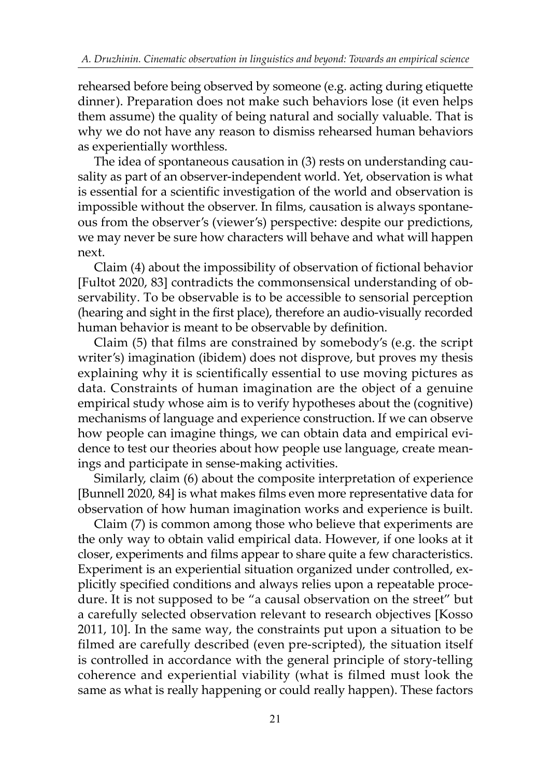rehearsed before being observed by someone (e.g. acting during etiquette dinner). Preparation does not make such behaviors lose (it even helps them assume) the quality of being natural and socially valuable. That is why we do not have any reason to dismiss rehearsed human behaviors as experientially worthless.

The idea of spontaneous causation in (3) rests on understanding causality as part of an observer-independent world. Yet, observation is what is essential for a scientific investigation of the world and observation is impossible without the observer. In films, causation is always spontaneous from the observer's (viewer's) perspective: despite our predictions, we may never be sure how characters will behave and what will happen next.

Claim (4) about the impossibility of observation of fictional behavior [Fultot 2020, 83] contradicts the commonsensical understanding of observability. To be observable is to be accessible to sensorial perception (hearing and sight in the first place), therefore an audio-visually recorded human behavior is meant to be observable by definition.

Claim (5) that films are constrained by somebody's (e.g. the script writer's) imagination (ibidem) does not disprove, but proves my thesis explaining why it is scientifically essential to use moving pictures as data. Constraints of human imagination are the object of a genuine empirical study whose aim is to verify hypotheses about the (cognitive) mechanisms of language and experience construction. If we can observe how people can imagine things, we can obtain data and empirical evidence to test our theories about how people use language, create meanings and participate in sense-making activities.

Similarly, claim (6) about the composite interpretation of experience [Bunnell 2020, 84] is what makes films even more representative data for observation of how human imagination works and experience is built.

Claim (7) is common among those who believe that experiments are the only way to obtain valid empirical data. However, if one looks at it closer, experiments and films appear to share quite a few characteristics. Experiment is an experiential situation organized under controlled, explicitly specified conditions and always relies upon a repeatable procedure. It is not supposed to be "a causal observation on the street" but a carefully selected observation relevant to research objectives [Kosso 2011, 10]. In the same way, the constraints put upon a situation to be filmed are carefully described (even pre-scripted), the situation itself is controlled in accordance with the general principle of story-telling coherence and experiential viability (what is filmed must look the same as what is really happening or could really happen). These factors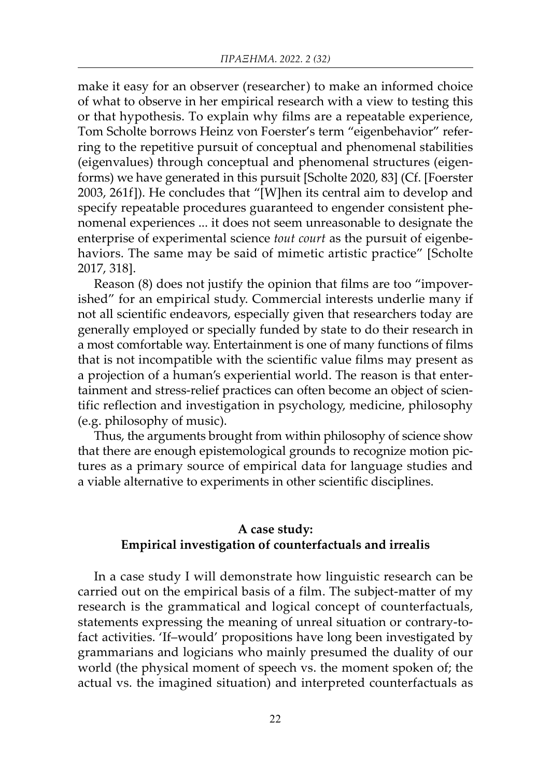make it easy for an observer (researcher) to make an informed choice of what to observe in her empirical research with a view to testing this or that hypothesis. To explain why films are a repeatable experience, Tom Scholte borrows Heinz von Foerster's term "eigenbehavior" referring to the repetitive pursuit of conceptual and phenomenal stabilities (eigenvalues) through conceptual and phenomenal structures (eigenforms) we have generated in this pursuit [Scholte 2020, 83] (Cf. [Foerster 2003, 261f]). He concludes that "[W]hen its central aim to develop and specify repeatable procedures guaranteed to engender consistent phenomenal experiences ... it does not seem unreasonable to designate the enterprise of experimental science *tout court* as the pursuit of eigenbehaviors. The same may be said of mimetic artistic practice" [Scholte 2017, 318].

Reason (8) does not justify the opinion that films are too "impoverished" for an empirical study. Commercial interests underlie many if not all scientific endeavors, especially given that researchers today are generally employed or specially funded by state to do their research in a most comfortable way. Entertainment is one of many functions of films that is not incompatible with the scientific value films may present as a projection of a human's experiential world. The reason is that entertainment and stress-relief practices can often become an object of scientific reflection and investigation in psychology, medicine, philosophy (e.g. philosophy of music).

Thus, the arguments brought from within philosophy of science show that there are enough epistemological grounds to recognize motion pictures as a primary source of empirical data for language studies and a viable alternative to experiments in other scientific disciplines.

## A case study: Empirical investigation of counterfactuals and irrealis

In a case study I will demonstrate how linguistic research can be carried out on the empirical basis of a film. The subject-matter of my research is the grammatical and logical concept of counterfactuals, statements expressing the meaning of unreal situation or contrary-tofact activities. 'If–would' propositions have long been investigated by grammarians and logicians who mainly presumed the duality of our world (the physical moment of speech vs. the moment spoken of; the actual vs. the imagined situation) and interpreted counterfactuals as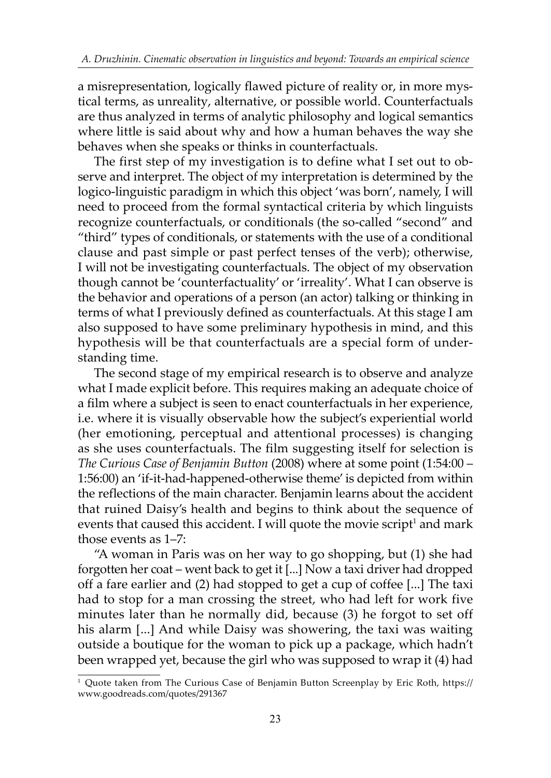a misrepresentation, logically flawed picture of reality or, in more mystical terms, as unreality, alternative, or possible world. Counterfactuals are thus analyzed in terms of analytic philosophy and logical semantics where little is said about why and how a human behaves the way she behaves when she speaks or thinks in counterfactuals.

The first step of my investigation is to define what I set out to observe and interpret. The object of my interpretation is determined by the logico-linguistic paradigm in which this object 'was born', namely, I will need to proceed from the formal syntactical criteria by which linguists recognize counterfactuals, or conditionals (the so-called "second" and "third" types of conditionals, or statements with the use of a conditional clause and past simple or past perfect tenses of the verb); otherwise, I will not be investigating counterfactuals. The object of my observation though cannot be 'counterfactuality' or 'irreality'. What I can observe is the behavior and operations of a person (an actor) talking or thinking in terms of what I previously defined as counterfactuals. At this stage I am also supposed to have some preliminary hypothesis in mind, and this hypothesis will be that counterfactuals are a special form of understanding time.

The second stage of my empirical research is to observe and analyze what I made explicit before. This requires making an adequate choice of a film where a subject is seen to enact counterfactuals in her experience, i.e. where it is visually observable how the subject's experiential world (her emotioning, perceptual and attentional processes) is changing as she uses counterfactuals. The film suggesting itself for selection is *The Curious Case of Benjamin Button* (2008) where at some point (1:54:00 – 1:56:00) an 'if-it-had-happened-otherwise theme' is depicted from within the reflections of the main character. Benjamin learns about the accident that ruined Daisy's health and begins to think about the sequence of events that caused this accident. I will quote the movie script $^{\scriptscriptstyle 1}$  and mark those events as 1–7:

"A woman in Paris was on her way to go shopping, but (1) she had forgotten her coat – went back to get it [...] Now a taxi driver had dropped off a fare earlier and (2) had stopped to get a cup of coffee [...] The taxi had to stop for a man crossing the street, who had left for work five minutes later than he normally did, because (3) he forgot to set off his alarm [...] And while Daisy was showering, the taxi was waiting outside a boutique for the woman to pick up a package, which hadn't been wrapped yet, because the girl who was supposed to wrap it (4) had

<sup>1</sup> Quote taken from The Curious Case of Benjamin Button Screenplay by Eric Roth, https:// www.goodreads.com/quotes/291367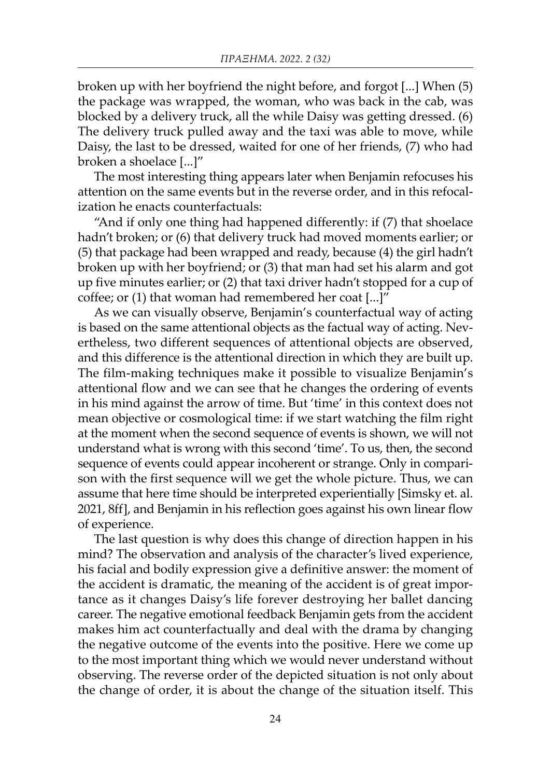broken up with her boyfriend the night before, and forgot [...] When (5) the package was wrapped, the woman, who was back in the cab, was blocked by a delivery truck, all the while Daisy was getting dressed. (6) The delivery truck pulled away and the taxi was able to move, while Daisy, the last to be dressed, waited for one of her friends, (7) who had broken a shoelace [...]"

The most interesting thing appears later when Benjamin refocuses his attention on the same events but in the reverse order, and in this refocalization he enacts counterfactuals:

"And if only one thing had happened differently: if (7) that shoelace hadn't broken; or (6) that delivery truck had moved moments earlier; or (5) that package had been wrapped and ready, because (4) the girl hadn't broken up with her boyfriend; or (3) that man had set his alarm and got up five minutes earlier; or (2) that taxi driver hadn't stopped for a cup of coffee; or (1) that woman had remembered her coat [...]"

As we can visually observe, Benjamin's counterfactual way of acting is based on the same attentional objects as the factual way of acting. Nevertheless, two different sequences of attentional objects are observed, and this difference is the attentional direction in which they are built up. The film-making techniques make it possible to visualize Benjamin's attentional flow and we can see that he changes the ordering of events in his mind against the arrow of time. But 'time' in this context does not mean objective or cosmological time: if we start watching the film right at the moment when the second sequence of events is shown, we will not understand what is wrong with this second 'time'. To us, then, the second sequence of events could appear incoherent or strange. Only in comparison with the first sequence will we get the whole picture. Thus, we can assume that here time should be interpreted experientially [Simsky et. al. 2021, 8ff], and Benjamin in his reflection goes against his own linear flow of experience.

The last question is why does this change of direction happen in his mind? The observation and analysis of the character's lived experience, his facial and bodily expression give a definitive answer: the moment of the accident is dramatic, the meaning of the accident is of great importance as it changes Daisy's life forever destroying her ballet dancing career. The negative emotional feedback Benjamin gets from the accident makes him act counterfactually and deal with the drama by changing the negative outcome of the events into the positive. Here we come up to the most important thing which we would never understand without observing. The reverse order of the depicted situation is not only about the change of order, it is about the change of the situation itself. This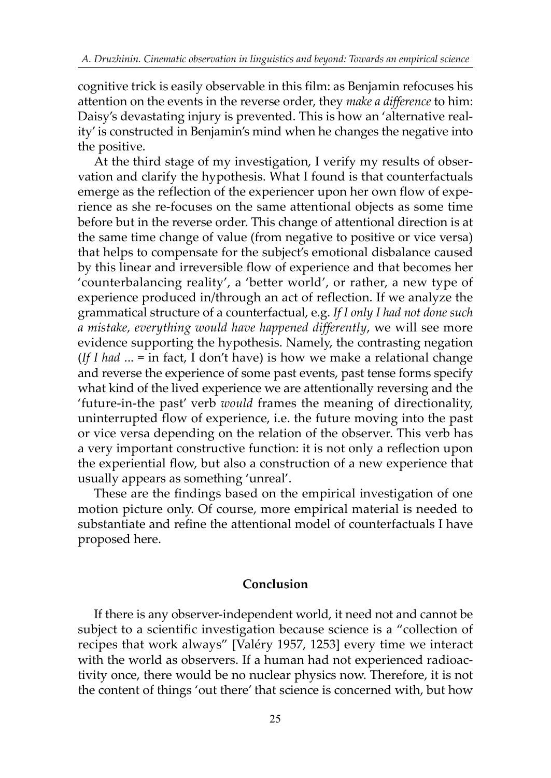cognitive trick is easily observable in this film: as Benjamin refocuses his attention on the events in the reverse order, they *make a difference* to him: Daisy's devastating injury is prevented. This is how an 'alternative reality' is constructed in Benjamin's mind when he changes the negative into the positive.

At the third stage of my investigation, I verify my results of observation and clarify the hypothesis. What I found is that counterfactuals emerge as the reflection of the experiencer upon her own flow of experience as she re-focuses on the same attentional objects as some time before but in the reverse order. This change of attentional direction is at the same time change of value (from negative to positive or vice versa) that helps to compensate for the subject's emotional disbalance caused by this linear and irreversible flow of experience and that becomes her 'counterbalancing reality', a 'better world', or rather, a new type of experience produced in/through an act of reflection. If we analyze the grammatical structure of a counterfactual, e.g. *If I only I had not done such a mistake, everything would have happened differently*, we will see more evidence supporting the hypothesis. Namely, the contrasting negation (*If I had* ... = in fact, I don't have) is how we make a relational change and reverse the experience of some past events, past tense forms specify what kind of the lived experience we are attentionally reversing and the 'future-in-the past' verb *would* frames the meaning of directionality, uninterrupted flow of experience, i.e. the future moving into the past or vice versa depending on the relation of the observer. This verb has a very important constructive function: it is not only a reflection upon the experiential flow, but also a construction of a new experience that usually appears as something 'unreal'.

These are the findings based on the empirical investigation of one motion picture only. Of course, more empirical material is needed to substantiate and refine the attentional model of counterfactuals I have proposed here.

## Conclusion

If there is any observer-independent world, it need not and cannot be subject to a scientific investigation because science is a "collection of recipes that work always" [Valéry 1957, 1253] every time we interact with the world as observers. If a human had not experienced radioactivity once, there would be no nuclear physics now. Therefore, it is not the content of things 'out there' that science is concerned with, but how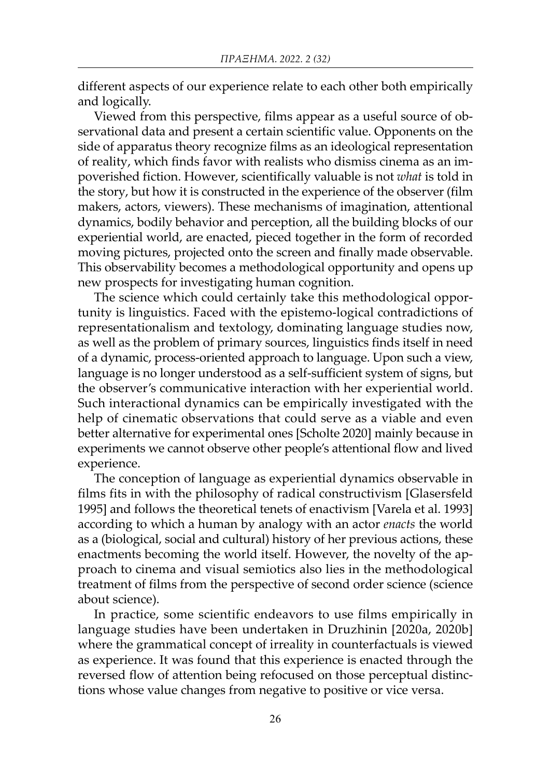different aspects of our experience relate to each other both empirically and logically.

Viewed from this perspective, films appear as a useful source of observational data and present a certain scientific value. Opponents on the side of apparatus theory recognize films as an ideological representation of reality, which finds favor with realists who dismiss cinema as an impoverished fiction. However, scientifically valuable is not *what* is told in the story, but how it is constructed in the experience of the observer (film makers, actors, viewers). These mechanisms of imagination, attentional dynamics, bodily behavior and perception, all the building blocks of our experiential world, are enacted, pieced together in the form of recorded moving pictures, projected onto the screen and finally made observable. This observability becomes a methodological opportunity and opens up new prospects for investigating human cognition.

The science which could certainly take this methodological opportunity is linguistics. Faced with the epistemo-logical contradictions of representationalism and textology, dominating language studies now, as well as the problem of primary sources, linguistics finds itself in need of a dynamic, process-oriented approach to language. Upon such a view, language is no longer understood as a self-sufficient system of signs, but the observer's communicative interaction with her experiential world. Such interactional dynamics can be empirically investigated with the help of cinematic observations that could serve as a viable and even better alternative for experimental ones [Scholte 2020] mainly because in experiments we cannot observe other people's attentional flow and lived experience.

The conception of language as experiential dynamics observable in films fits in with the philosophy of radical constructivism [Glasersfeld 1995] and follows the theoretical tenets of enactivism [Varela et al. 1993] according to which a human by analogy with an actor *enacts* the world as a (biological, social and cultural) history of her previous actions, these enactments becoming the world itself. However, the novelty of the approach to cinema and visual semiotics also lies in the methodological treatment of films from the perspective of second order science (science about science).

In practice, some scientific endeavors to use films empirically in language studies have been undertaken in Druzhinin [2020a, 2020b] where the grammatical concept of irreality in counterfactuals is viewed as experience. It was found that this experience is enacted through the reversed flow of attention being refocused on those perceptual distinctions whose value changes from negative to positive or vice versa.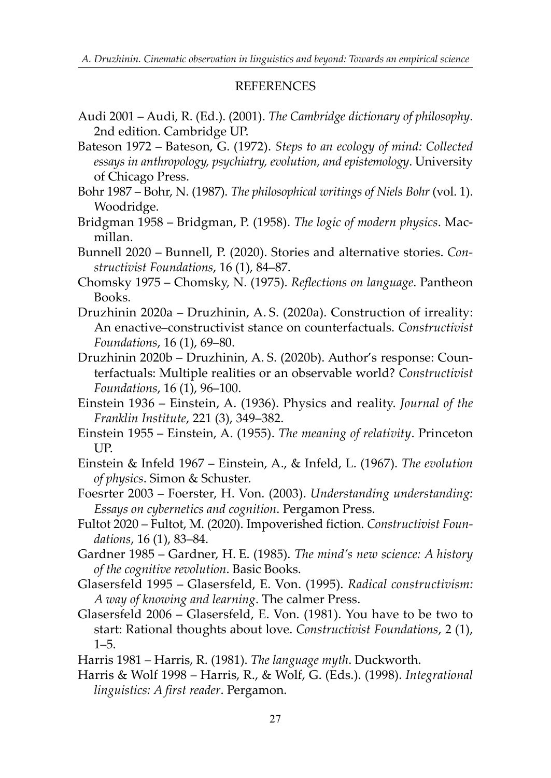## **REFERENCES**

- Audi 2001 Audi, R. (Ed.). (2001). *The Cambridge dictionary of philosophy*. 2nd edition. Cambridge UP.
- Bateson 1972 Bateson, G. (1972). *Steps to an ecology of mind: Collected essays in anthropology, psychiatry, evolution, and epistemology*. University of Chicago Press.
- Bohr 1987 Bohr, N. (1987). *The philosophical writings of Niels Bohr* (vol. 1). Woodridge.
- Bridgman 1958 Bridgman, P. (1958). *The logic of modern physics*. Macmillan.
- Bunnell 2020 Bunnell, P. (2020). Stories and alternative stories. *Constructivist Foundations*, 16 (1), 84–87.
- Chomsky 1975 Chomsky, N. (1975). *Reflections on language*. Pantheon Books.
- Druzhinin 2020a Druzhinin, A. S. (2020a). Construction of irreality: An enactive–constructivist stance on counterfactuals. *Constructivist Foundations*, 16 (1), 69–80.
- Druzhinin 2020b Druzhinin, A. S. (2020b). Author's response: Counterfactuals: Multiple realities or an observable world? *Constructivist Foundations*, 16 (1), 96–100.
- Einstein 1936 Einstein, A. (1936). Physics and reality. *Journal of the Franklin Institute*, 221 (3), 349–382.
- Einstein 1955 Einstein, A. (1955). *The meaning of relativity*. Princeton UP.
- Einstein & Infeld 1967 Einstein, A., & Infeld, L. (1967). *The evolution of physics*. Simon & Schuster.
- Foesrter 2003 Foerster, H. Von. (2003). *Understanding understanding: Essays on cybernetics and cognition*. Pergamon Press.
- Fultot 2020 Fultot, M. (2020). Impoverished fiction. *Constructivist Foundations*, 16 (1), 83–84.
- Gardner 1985 Gardner, H. E. (1985). *The mind's new science: A history of the cognitive revolution*. Basic Books.
- Glasersfeld 1995 Glasersfeld, E. Von. (1995). *Radical constructivism: A way of knowing and learning*. The calmer Press.
- Glasersfeld 2006 Glasersfeld, E. Von. (1981). You have to be two to start: Rational thoughts about love. *Constructivist Foundations*, 2 (1), 1–5.

Harris 1981 – Harris, R. (1981). *The language myth*. Duckworth.

Harris & Wolf 1998 – Harris, R., & Wolf, G. (Eds.). (1998). *Integrational linguistics: A first reader*. Pergamon.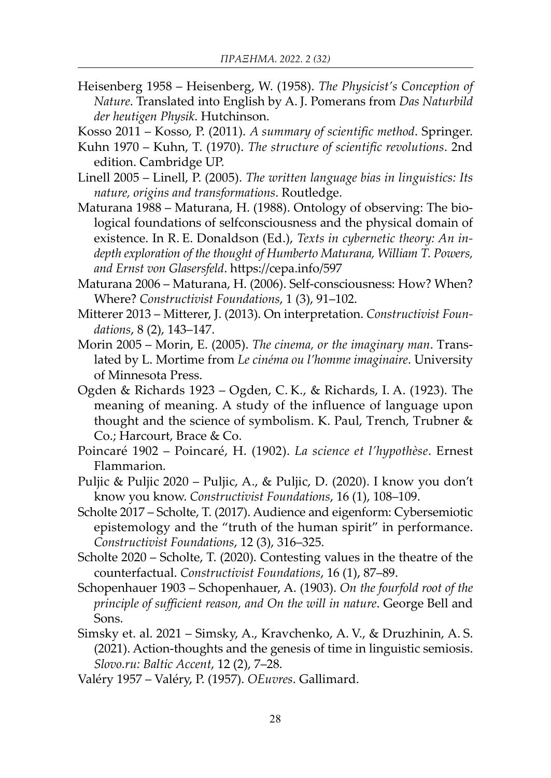Heisenberg 1958 – Heisenberg, W. (1958). *The Physicist's Conception of Nature*. Translated into English by A. J. Pomerans from *Das Naturbild der heutigen Physik*. Hutchinson.

Kosso 2011 – Kosso, P. (2011). *A summary of scientific method*. Springer.

- Kuhn 1970 Kuhn, T. (1970). *The structure of scientific revolutions*. 2nd edition. Cambridge UP.
- Linell 2005 Linell, P. (2005). *The written language bias in linguistics: Its nature, origins and transformations*. Routledge.
- Maturana 1988 Maturana, H. (1988). Ontology of observing: The biological foundations of selfconsciousness and the physical domain of existence. In R. E. Donaldson (Ed.), *Texts in cybernetic theory: An indepth exploration of the thought of Humberto Maturana, William T. Powers, and Ernst von Glasersfeld*. https://cepa.info/597
- Maturana 2006 Maturana, H. (2006). Self-consciousness: How? When? Where? *Constructivist Foundations*, 1 (3), 91–102.
- Mitterer 2013 Mitterer, J. (2013). On interpretation. *Constructivist Foundations*, 8 (2), 143–147.
- Morin 2005 Morin, E. (2005). *The cinema, or the imaginary man*. Translated by L. Mortime from *Le cinéma ou l'homme imaginaire*. University of Minnesota Press.
- Ogden & Richards 1923 Ogden, C. K., & Richards, I. A. (1923). The meaning of meaning. A study of the influence of language upon thought and the science of symbolism. K. Paul, Trench, Trubner & Co.; Harcourt, Brace & Co.
- Poincaré 1902 Poincaré, H. (1902). *La science et l'hypothèse*. Ernest Flammarion.
- Puljic & Puljic 2020 Puljic, A., & Puljic, D. (2020). I know you don't know you know. *Constructivist Foundations*, 16 (1), 108–109.
- Scholte 2017 Scholte, T. (2017). Audience and eigenform: Cybersemiotic epistemology and the "truth of the human spirit" in performance. *Constructivist Foundations*, 12 (3), 316–325.
- Scholte 2020 Scholte, T. (2020). Contesting values in the theatre of the counterfactual. *Constructivist Foundations*, 16 (1), 87–89.
- Schopenhauer 1903 Schopenhauer, A. (1903). *On the fourfold root of the principle of sufficient reason, and On the will in nature*. George Bell and Sons.
- Simsky et. al. 2021 Simsky, A., Kravchenko, A. V., & Druzhinin, A. S. (2021). Action-thoughts and the genesis of time in linguistic semiosis. *Slovo.ru: Baltic Accent*, 12 (2), 7–28.
- Valéry 1957 Valéry, P. (1957). *OEuvres*. Gallimard.